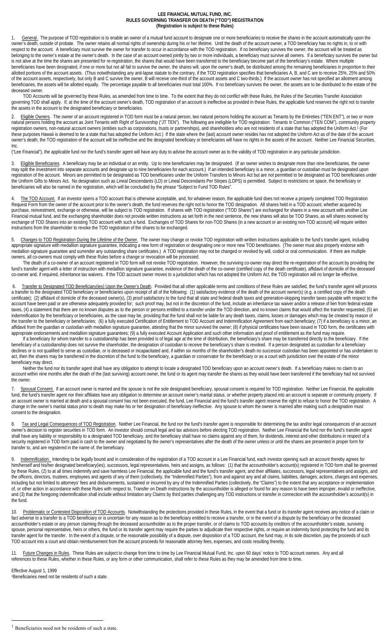## **LEE FINANCIAL MUTUAL FUND, INC. RULES GOVERNING TRANSFER ON DEATH ("TOD") REGISTRATION (Registration is subject to these Rules)**

1. General. The purpose of TOD registration is to enable an owner of a mutual fund account to designate one or more beneficiaries to receive the shares in the account automatically upon the owner's death, outside of probate. The owner retains all normal rights of ownership during his or her lifetime. Until the death of the account owner, a TOD beneficiary has no rights in, to or with respect to the account. A beneficiary must survive the owner for transfer to occur in accordance with the TOD registration. If no beneficiary survives the owner, the account will be treated as belonging to the owner's estate at the owner's death. In the case of an account owned jointly by two or more individuals, a beneficiary must survive all owners. If a beneficiary survives the owner but is not alive at the time the shares are presented for re-registration, the shares that would have been transferred to the beneficiary become part of the beneficiary's estate. Where multiple beneficiaries have been designated, if one or more but not all fail to survive the owner, the shares will, upon the owner's death, be distributed among the remaining beneficiaries in proportion to their allotted portions of the account assets. (Thus notwithstanding any anti-lapse statute to the contrary, if the TOD registration specifies that beneficiaries A, B, and C are to receive 25%, 25% and 50% of the account assets, respectively, but only B and C survive the owner, B will receive one-third of the account assets and C two-thirds.) If the account owner has not specified an allotment among beneficiaries, the assets will be allotted equally. The percentage payable to all beneficiaries must total 100%. If no beneficiary survives the owner, the assets are to be distributed to the estate of the deceased owner.

TOD Accounts will be governed by these Rules, as amended from time to time. To the extent that they do not conflict with these Rules, the Rules of the Securities Transfer Association governing TOD shall apply. If, at the time of the account owner's death, TOD registration of an account is ineffective as provided in these Rules, the applicable fund reserves the right not to transfer the assets in the account to the designated beneficiary or beneficiaries.

2. Eligible Owners. The owner of an account registered in TOD form must be a natural person, two natural persons holding the account as Tenants by the Entireties ("TEN ENT"), or two or more natural persons holding the account as Joint Tenants with Right of Survivorship ("JT TEN"). The following are ineligible for TOD registration: Tenants in Common ("TEN COM"), community property registration owners, non-natural account owners (entities such as corporations, trusts or partnerships), and shareholders who are not residents of a state that has adopted the Uniform Act. 1 (For these purposes Hawaii is deemed to be a state that has adopted the Uniform Act.) If the state where the (last) account owner resides has not adopted the Uniform Act as of the date of the account owner's death, the TOD registration of the account will be ineffective and the designated beneficiary or beneficiaries will have no rights in the assets of the account. Neither Lee Financial Securities, Inc.

("Lee Financial"), the applicable fund nor the fund's transfer agent will have any duty to advise the account owner as to the validity of TOD registration in any particular jurisdiction.

3. Eligible Beneficiaries. A beneficiary may be an individual or an entity. Up to nine beneficiaries may be designated. (If an owner wishes to designate more than nine beneficiaries, the owner may split the investment into separate accounts and designate up to nine beneficiaries for each account.) If an intended beneficiary is a minor, a guardian or custodian must be designated upon registration of the account. Minors are permitted to be designated as TOD beneficiaries under the Uniform Transfers to Minors Act but are not permitted to be designated as TOD beneficiaries under the Uniform Gifts to Minors Act. No designation such as Lineal Descendants (LD) or Lineal Descendants Per Stirpes (LDPS) is permitted. Subject to restrictions on space, the beneficiary or beneficiaries will also be named in the registration, which will be concluded by the phrase "Subject to Fund TOD Rules".

4. The TOD Account. If an investor opens a TOD account that is otherwise acceptable, and, for whatever reason, the applicable fund does not receive a properly completed TOD Registration Request Form from the owner of the account prior to the owner's death, the fund reserves the right not to honor the TOD designation. All shares held in a TOD account, whether acquired by purchase, reinvestment, exchange or otherwise, will be subject to TOD registration. If shares with TOD registration ("TOD Shares") are exchanged for shares in a new account with another Lee Financial mutual fund, and the exchanging shareholder does not provide written instructions as set forth in the next sentence, the new shares will also be TOD Shares, as will shares received by exchange of TOD Shares into an existing TOD account with such a fund. Exchanges of TOD Shares for non-TOD Shares (in a new account or an existing non-TOD account) will require written instructions from the shareholder to revoke the TOD registration of the shares to be exchanged.

Changes to TOD Registration During the Lifetime of the Owner. The owner may change or revoke TOD registration with written instructions applicable to the fund's transfer agent, including appropriate signature with medallion signature guarantee, indicating a new form of registration or designating one or more new TOD beneficiaries. (The owner must also properly endorse with medallion signature guarantee and surrender any outstanding share certificates.) A TOD registration may not be changed or revoked by will, codicil or oral communication. If there are multiple owners, all co-owners must comply with these Rules before a change or revocation will be processed.

The death of a co-owner of an account registered in TOD form will not revoke TOD registration. However, the surviving co-owner may direct the re-registration of the account by providing the fund's transfer agent with a letter of instruction with medallion signature guarantee, evidence of the death of the co-owner (certified copy of the death certificate), affidavit of domicile of the deceased co-owner and, if required, inheritance tax waivers. If the TOD account owner moves to a jurisdiction which has not adopted the Uniform Act, the TOD registration will no longer be effective.

6. Transfer to Designated TOD Beneficiary(ies) Upon the Owner's Death. Provided that all other applicable terms and conditions of these Rules are satisfied, the fund's transfer agent will process a transfer to the designated TOD beneficiary or beneficiaries upon receipt of all of the following: (1) satisfactory evidence of the death of the account owner(s) (e.g. a certified copy of the death certificate); (2) affidavit of domicile of the deceased owner(s), (3) proof satisfactory to the fund that all state and federal death taxes and generation-skipping transfer taxes payable with respect to the account have been paid or are otherwise adequately provided for; such proof may, but not in the discretion of the fund, include an inheritance tax waiver and/or a release of lien from federal estate taxes, (4) a statement that there are no known disputes as to the person or persons entitled to a transfer under the TOD direction, and no known claims that would affect the transfer requested, (5) an indemnification by the beneficiary or beneficiaries, as the case may be, providing that the fund shall not be liable for any death taxes, claims, losses or damages which may be created by reason of the transfer to the beneficiary or beneficiaries; (6) a fully executed Certification of Entitlement to TOD Account and Indemnification Agreement from each beneficiary; (7) if a beneficiary is a minor, an affidavit from the guardian or custodian with medallion signature guarantee, attesting that the minor survived the owner; (8) if physical certificates have been issued in TOD form, the certificates with appropriate endorsements and medallion signature guarantees; (9) a fully executed Account Application and such other information and proof of entitlement as the fund may require.

If a beneficiary for whom transfer to a custodianship has been provided is of legal age at the time of distribution, the beneficiary's share may be transferred directly to the beneficiary. If the beneficiary of a custodianship does not survive the shareholder, the designation of custodian to receive the beneficiary's share is revoked. If a person designated as custodian for a beneficiary declines or is not qualified to serve as custodian, or is deceased or incapacitated and, if within six months of the shareholder's death no successor custodian has been appointed or has undertaken to act, then the shares may be transferred in the discretion of the fund to the beneficiary, a guardian or conservator for the beneficiary or as a court with jurisdiction over the estate of the minor beneficiary may direct.

Neither the fund nor its transfer agent shall have any obligation to attempt to locate a designated TOD beneficiary upon an account owner's death. If a beneficiary makes no claim to an account within nine months after the death of the (last surviving) account owner, the fund or its agent may transfer the shares as they would have been transferred if the beneficiary had not survived the owner.

7. Spousal Consent. If an account owner is married and the spouse is not the sole designated beneficiary, spousal consent is required for TOD registration. Neither Lee Financial, the applicable fund, the fund's transfer agent nor their affiliates have any obligation to determine an account owner's marital status, or whether property placed into an account is separate or community property. If an account owner is married at death and a spousal consent has not been executed, the fund, Lee Financial and the fund's transfer agent reserve the right to refuse to honor the TOD registration. A change in the owner's marital status prior to death may make his or her designation of beneficiary ineffective. Any spouse to whom the owner is married after making such a designation must consent to the designation.

Tax and Legal Consequences of TOD Registration. Neither Lee Financial, the fund nor the fund's transfer agent is responsible for determining the tax and/or legal consequences of an account owner's decision to register securities in TOD form. An investor should consult legal and tax advisors before electing TOD registration. Neither Lee Financial the fund nor the fund's transfer agent shall have any liability or responsibility to a designated TOD beneficiary, and the beneficiary shall have no claims against any of them, for dividends, interest and other distributions in respect of a security registered in TOD form paid in cash to the owner and negotiated by the owner's representatives after the death of the owner unless or until the shares are presented in proper form for transfer to, and are registered in the name of, the beneficiary.

9. Indemnification. Intending to be legally bound and in consideration of the registration of a TOD account in a Lee Financial fund, each investor opening such an account thereby agrees for him/herself and his/her designated beneficiary(ies), successors, legal representatives, heirs and assigns, as follows: (1) that the accountholder's account(s) registered in TOD form shall be governed by these Rules, (2) to at all times indemnify and save harmless Lee Financial, the applicable fund and the fund's transfer agent, and their affiliates, successors, legal representatives and assigns, and the officers, directors, trustees, employees and agents of any of them (collectively, the "Indemnified Parties"), from and against any and all claims, liabilities, damages, actions, charges and expenses, including but not limited to attorneys' fees and disbursements, sustained or incurred by any of the Indemnified Parties (collectively, the "Claims") to the extent that any acceptance or implementation of, or other action in accordance with these Rules with respect to, Transfer on Death instructions by the accountholder is alleged or found for any reason to have been improper, invalid or ineffective, and (3) that the foregoing indemnification shall include without limitation any Claims by third parties challenging any TOD instructions or transfer in connection with the accountholder's account(s) in the fund.

10. Problematic or Contested Disposition of TOD Accounts. Notwithstanding the protections provided in these Rules, in the event that a fund or its transfer agent receives any notice of a claim or fact adverse to a transfer to a TOD beneficiary or is uncertain for any reason as to the beneficiary entitled to receive a transfer, or in the event of a dispute by the beneficiary or the deceased accountholder's estate or any person claiming through the deceased accountholder as to the proper transfer, or of claims to TOD accounts by creditors of the accountholder's estate, surviving spouse, personal representative, heirs or others, the fund or its transfer agent may require the parties to adjudicate their respective rights, or require an indemnity bond protecting the fund and its transfer agent for the transfer. In the event of a dispute, or the reasonable possibility of a dispute, over disposition of a TOD account, the fund may, in its sole discretion, pay the proceeds of such TOD account into a court and obtain reimbursement from the account proceeds for reasonable attorney fees, expenses, and costs resulting thereby.

11. Future Changes in Rules. These Rules are subject to change from time to time by Lee Financial Mutual Fund, Inc. upon 60 days' notice to TOD account owners. Any and all references to these Rules, whether in these Rules, or any form or other communication, shall refer to these Rules as they may be amended from time to time.

Effective August 1, 1999 1Beneficiaries need not be residents of such a state.

 $<sup>1</sup>$  Beneficiaries need not be residents of such a state.</sup>